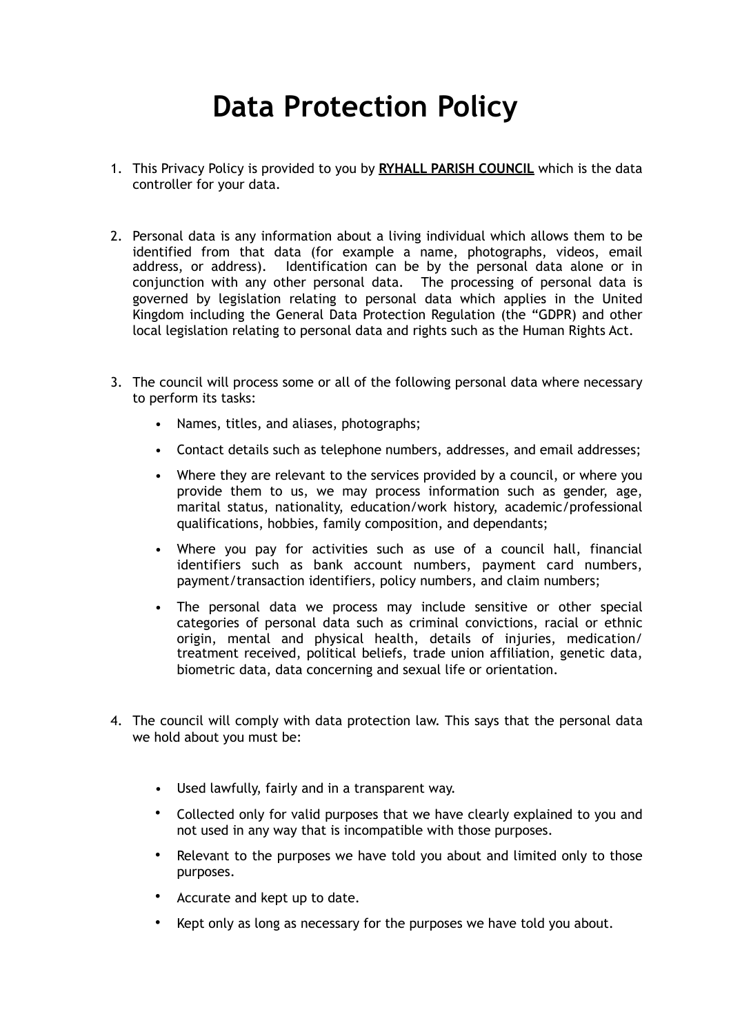## **Data Protection Policy**

- 1. This Privacy Policy is provided to you by **RYHALL PARISH COUNCIL** which is the data controller for your data.
- 2. Personal data is any information about a living individual which allows them to be identified from that data (for example a name, photographs, videos, email address, or address). Identification can be by the personal data alone or in conjunction with any other personal data. The processing of personal data is governed by legislation relating to personal data which applies in the United Kingdom including the General Data Protection Regulation (the "GDPR) and other local legislation relating to personal data and rights such as the Human Rights Act.
- 3. The council will process some or all of the following personal data where necessary to perform its tasks:
	- Names, titles, and aliases, photographs;
	- Contact details such as telephone numbers, addresses, and email addresses;
	- Where they are relevant to the services provided by a council, or where you provide them to us, we may process information such as gender, age, marital status, nationality, education/work history, academic/professional qualifications, hobbies, family composition, and dependants;
	- Where you pay for activities such as use of a council hall, financial identifiers such as bank account numbers, payment card numbers, payment/transaction identifiers, policy numbers, and claim numbers;
	- The personal data we process may include sensitive or other special categories of personal data such as criminal convictions, racial or ethnic origin, mental and physical health, details of injuries, medication/ treatment received, political beliefs, trade union affiliation, genetic data, biometric data, data concerning and sexual life or orientation.
- 4. The council will comply with data protection law. This says that the personal data we hold about you must be:
	- Used lawfully, fairly and in a transparent way.
	- Collected only for valid purposes that we have clearly explained to you and not used in any way that is incompatible with those purposes.
	- Relevant to the purposes we have told you about and limited only to those purposes.
	- Accurate and kept up to date.
	- Kept only as long as necessary for the purposes we have told you about.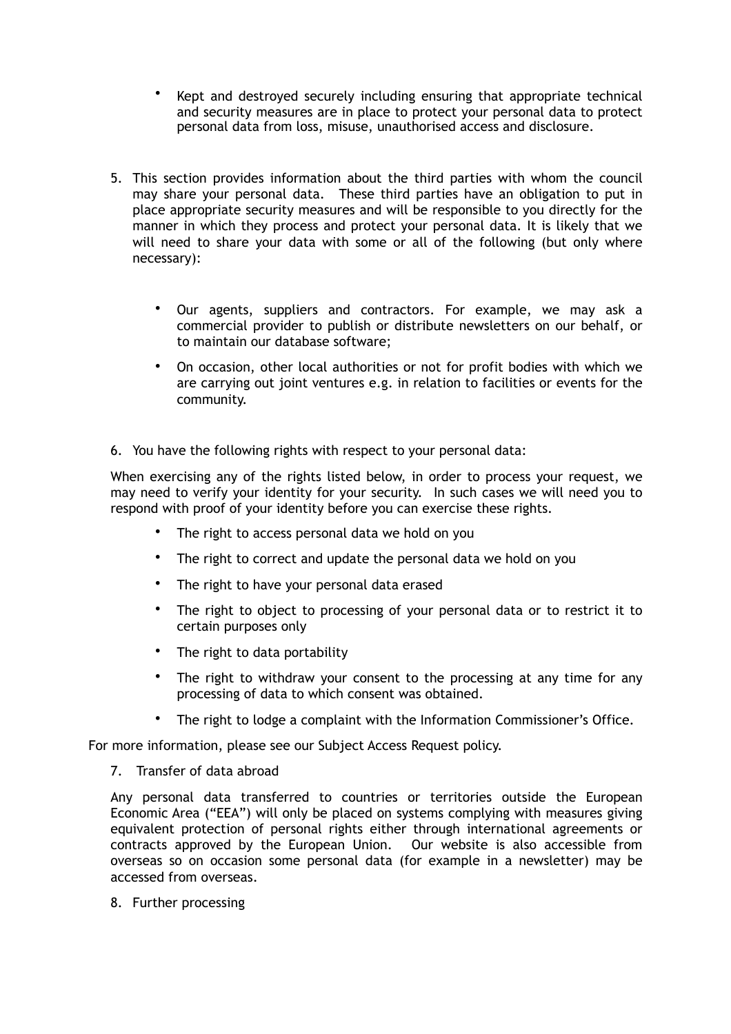- Kept and destroyed securely including ensuring that appropriate technical and security measures are in place to protect your personal data to protect personal data from loss, misuse, unauthorised access and disclosure.
- 5. This section provides information about the third parties with whom the council may share your personal data. These third parties have an obligation to put in place appropriate security measures and will be responsible to you directly for the manner in which they process and protect your personal data. It is likely that we will need to share your data with some or all of the following (but only where necessary):
	- Our agents, suppliers and contractors. For example, we may ask a commercial provider to publish or distribute newsletters on our behalf, or to maintain our database software;
	- On occasion, other local authorities or not for profit bodies with which we are carrying out joint ventures e.g. in relation to facilities or events for the community.
- 6. You have the following rights with respect to your personal data:

When exercising any of the rights listed below, in order to process your request, we may need to verify your identity for your security. In such cases we will need you to respond with proof of your identity before you can exercise these rights.

- The right to access personal data we hold on you
- The right to correct and update the personal data we hold on you
- The right to have your personal data erased
- The right to object to processing of your personal data or to restrict it to certain purposes only
- The right to data portability
- The right to withdraw your consent to the processing at any time for any processing of data to which consent was obtained.
- The right to lodge a complaint with the Information Commissioner's Office.

For more information, please see our Subject Access Request policy.

7. Transfer of data abroad

Any personal data transferred to countries or territories outside the European Economic Area ("EEA") will only be placed on systems complying with measures giving equivalent protection of personal rights either through international agreements or contracts approved by the European Union. Our website is also accessible from overseas so on occasion some personal data (for example in a newsletter) may be accessed from overseas.

8. Further processing